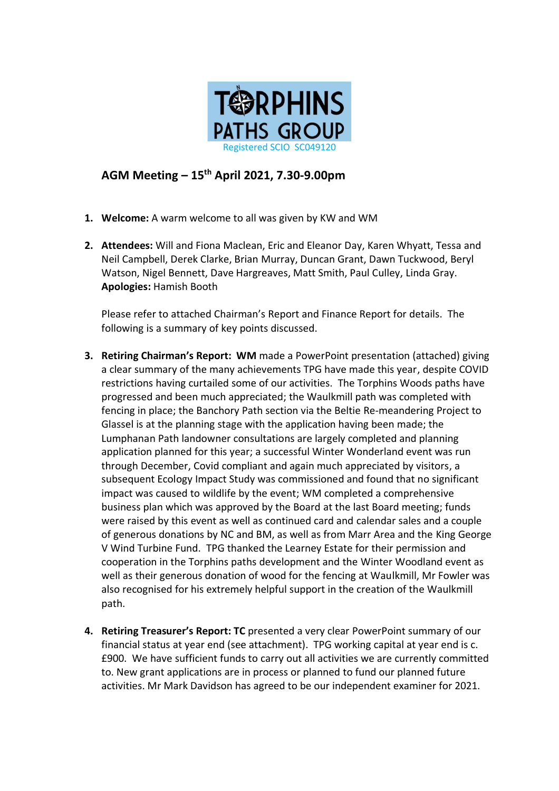

## **AGM Meeting – 15 th April 2021, 7.30-9.00pm**

- **1. Welcome:** A warm welcome to all was given by KW and WM
- **2. Attendees:** Will and Fiona Maclean, Eric and Eleanor Day, Karen Whyatt, Tessa and Neil Campbell, Derek Clarke, Brian Murray, Duncan Grant, Dawn Tuckwood, Beryl Watson, Nigel Bennett, Dave Hargreaves, Matt Smith, Paul Culley, Linda Gray. **Apologies:** Hamish Booth

Please refer to attached Chairman's Report and Finance Report for details. The following is a summary of key points discussed.

- **3. Retiring Chairman's Report: WM** made a PowerPoint presentation (attached) giving a clear summary of the many achievements TPG have made this year, despite COVID restrictions having curtailed some of our activities. The Torphins Woods paths have progressed and been much appreciated; the Waulkmill path was completed with fencing in place; the Banchory Path section via the Beltie Re-meandering Project to Glassel is at the planning stage with the application having been made; the Lumphanan Path landowner consultations are largely completed and planning application planned for this year; a successful Winter Wonderland event was run through December, Covid compliant and again much appreciated by visitors, a subsequent Ecology Impact Study was commissioned and found that no significant impact was caused to wildlife by the event; WM completed a comprehensive business plan which was approved by the Board at the last Board meeting; funds were raised by this event as well as continued card and calendar sales and a couple of generous donations by NC and BM, as well as from Marr Area and the King George V Wind Turbine Fund. TPG thanked the Learney Estate for their permission and cooperation in the Torphins paths development and the Winter Woodland event as well as their generous donation of wood for the fencing at Waulkmill, Mr Fowler was also recognised for his extremely helpful support in the creation of the Waulkmill path.
- **4. Retiring Treasurer's Report: TC** presented a very clear PowerPoint summary of our financial status at year end (see attachment). TPG working capital at year end is c. £900. We have sufficient funds to carry out all activities we are currently committed to. New grant applications are in process or planned to fund our planned future activities. Mr Mark Davidson has agreed to be our independent examiner for 2021.